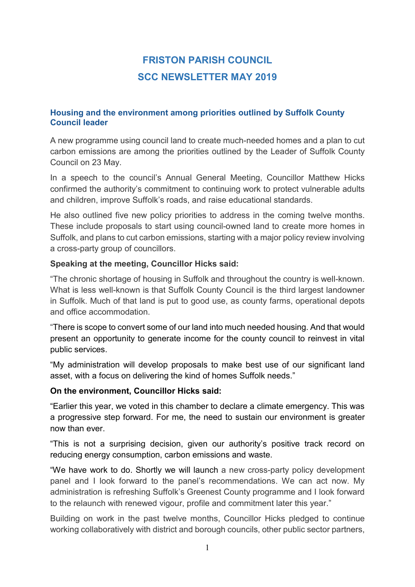# FRISTON PARISH COUNCIL SCC NEWSLETTER MAY 2019

## Housing and the environment among priorities outlined by Suffolk County Council leader

A new programme using council land to create much-needed homes and a plan to cut carbon emissions are among the priorities outlined by the Leader of Suffolk County Council on 23 May.

In a speech to the council's Annual General Meeting, Councillor Matthew Hicks confirmed the authority's commitment to continuing work to protect vulnerable adults and children, improve Suffolk's roads, and raise educational standards.

He also outlined five new policy priorities to address in the coming twelve months. These include proposals to start using council-owned land to create more homes in Suffolk, and plans to cut carbon emissions, starting with a major policy review involving a cross-party group of councillors.

## Speaking at the meeting, Councillor Hicks said:

"The chronic shortage of housing in Suffolk and throughout the country is well-known. What is less well-known is that Suffolk County Council is the third largest landowner in Suffolk. Much of that land is put to good use, as county farms, operational depots and office accommodation.

"There is scope to convert some of our land into much needed housing. And that would present an opportunity to generate income for the county council to reinvest in vital public services.

"My administration will develop proposals to make best use of our significant land asset, with a focus on delivering the kind of homes Suffolk needs."

## On the environment, Councillor Hicks said:

"Earlier this year, we voted in this chamber to declare a climate emergency. This was a progressive step forward. For me, the need to sustain our environment is greater now than ever.

"This is not a surprising decision, given our authority's positive track record on reducing energy consumption, carbon emissions and waste.

"We have work to do. Shortly we will launch a new cross-party policy development panel and I look forward to the panel's recommendations. We can act now. My administration is refreshing Suffolk's Greenest County programme and I look forward to the relaunch with renewed vigour, profile and commitment later this year."

Building on work in the past twelve months, Councillor Hicks pledged to continue working collaboratively with district and borough councils, other public sector partners,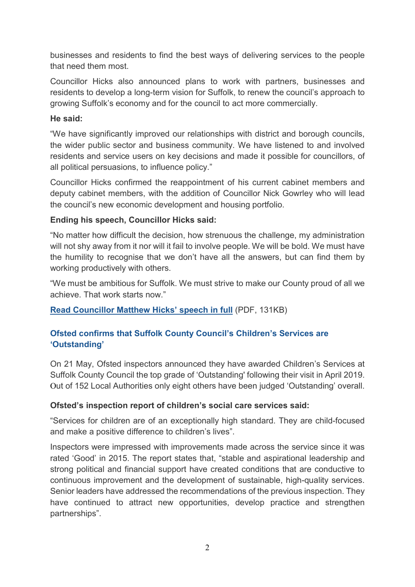businesses and residents to find the best ways of delivering services to the people that need them most.

Councillor Hicks also announced plans to work with partners, businesses and residents to develop a long-term vision for Suffolk, to renew the council's approach to growing Suffolk's economy and for the council to act more commercially.

## He said:

"We have significantly improved our relationships with district and borough councils, the wider public sector and business community. We have listened to and involved residents and service users on key decisions and made it possible for councillors, of all political persuasions, to influence policy."

Councillor Hicks confirmed the reappointment of his current cabinet members and deputy cabinet members, with the addition of Councillor Nick Gowrley who will lead the council's new economic development and housing portfolio.

# Ending his speech, Councillor Hicks said:

"No matter how difficult the decision, how strenuous the challenge, my administration will not shy away from it nor will it fail to involve people. We will be bold. We must have the humility to recognise that we don't have all the answers, but can find them by working productively with others.

"We must be ambitious for Suffolk. We must strive to make our County proud of all we achieve. That work starts now."

Read Councillor Matthew Hicks' speech in full (PDF, 131KB)

# Ofsted confirms that Suffolk County Council's Children's Services are 'Outstanding'

On 21 May, Ofsted inspectors announced they have awarded Children's Services at Suffolk County Council the top grade of 'Outstanding' following their visit in April 2019. Out of 152 Local Authorities only eight others have been judged 'Outstanding' overall.

# Ofsted's inspection report of children's social care services said:

"Services for children are of an exceptionally high standard. They are child-focused and make a positive difference to children's lives".

Inspectors were impressed with improvements made across the service since it was rated 'Good' in 2015. The report states that, "stable and aspirational leadership and strong political and financial support have created conditions that are conductive to continuous improvement and the development of sustainable, high-quality services. Senior leaders have addressed the recommendations of the previous inspection. They have continued to attract new opportunities, develop practice and strengthen partnerships".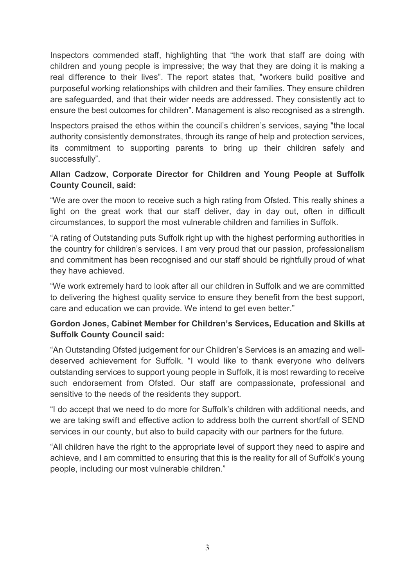Inspectors commended staff, highlighting that "the work that staff are doing with children and young people is impressive; the way that they are doing it is making a real difference to their lives". The report states that, "workers build positive and purposeful working relationships with children and their families. They ensure children are safeguarded, and that their wider needs are addressed. They consistently act to ensure the best outcomes for children". Management is also recognised as a strength.

Inspectors praised the ethos within the council's children's services, saying "the local authority consistently demonstrates, through its range of help and protection services, its commitment to supporting parents to bring up their children safely and successfully".

## Allan Cadzow, Corporate Director for Children and Young People at Suffolk County Council, said:

"We are over the moon to receive such a high rating from Ofsted. This really shines a light on the great work that our staff deliver, day in day out, often in difficult circumstances, to support the most vulnerable children and families in Suffolk.

"A rating of Outstanding puts Suffolk right up with the highest performing authorities in the country for children's services. I am very proud that our passion, professionalism and commitment has been recognised and our staff should be rightfully proud of what they have achieved.

"We work extremely hard to look after all our children in Suffolk and we are committed to delivering the highest quality service to ensure they benefit from the best support, care and education we can provide. We intend to get even better."

# Gordon Jones, Cabinet Member for Children's Services, Education and Skills at Suffolk County Council said:

"An Outstanding Ofsted judgement for our Children's Services is an amazing and welldeserved achievement for Suffolk. "I would like to thank everyone who delivers outstanding services to support young people in Suffolk, it is most rewarding to receive such endorsement from Ofsted. Our staff are compassionate, professional and sensitive to the needs of the residents they support.

"I do accept that we need to do more for Suffolk's children with additional needs, and we are taking swift and effective action to address both the current shortfall of SEND services in our county, but also to build capacity with our partners for the future.

"All children have the right to the appropriate level of support they need to aspire and achieve, and I am committed to ensuring that this is the reality for all of Suffolk's young people, including our most vulnerable children."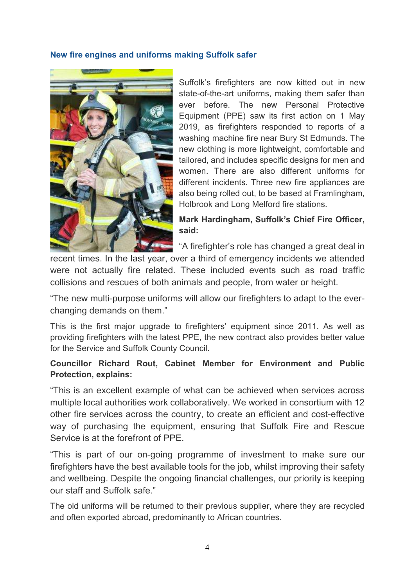#### New fire engines and uniforms making Suffolk safer



Suffolk's firefighters are now kitted out in new state-of-the-art uniforms, making them safer than ever before. The new Personal Protective Equipment (PPE) saw its first action on 1 May 2019, as firefighters responded to reports of a washing machine fire near Bury St Edmunds. The new clothing is more lightweight, comfortable and tailored, and includes specific designs for men and women. There are also different uniforms for different incidents. Three new fire appliances are also being rolled out, to be based at Framlingham, Holbrook and Long Melford fire stations.

Mark Hardingham, Suffolk's Chief Fire Officer, said:

"A firefighter's role has changed a great deal in

recent times. In the last year, over a third of emergency incidents we attended were not actually fire related. These included events such as road traffic collisions and rescues of both animals and people, from water or height.

"The new multi-purpose uniforms will allow our firefighters to adapt to the everchanging demands on them."

This is the first major upgrade to firefighters' equipment since 2011. As well as providing firefighters with the latest PPE, the new contract also provides better value for the Service and Suffolk County Council.

## Councillor Richard Rout, Cabinet Member for Environment and Public Protection, explains:

"This is an excellent example of what can be achieved when services across multiple local authorities work collaboratively. We worked in consortium with 12 other fire services across the country, to create an efficient and cost-effective way of purchasing the equipment, ensuring that Suffolk Fire and Rescue Service is at the forefront of PPE.

"This is part of our on-going programme of investment to make sure our firefighters have the best available tools for the job, whilst improving their safety and wellbeing. Despite the ongoing financial challenges, our priority is keeping our staff and Suffolk safe."

The old uniforms will be returned to their previous supplier, where they are recycled and often exported abroad, predominantly to African countries.